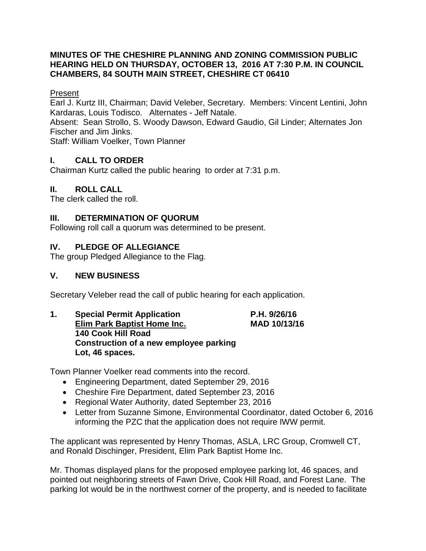#### **MINUTES OF THE CHESHIRE PLANNING AND ZONING COMMISSION PUBLIC HEARING HELD ON THURSDAY, OCTOBER 13, 2016 AT 7:30 P.M. IN COUNCIL CHAMBERS, 84 SOUTH MAIN STREET, CHESHIRE CT 06410**

#### Present

Earl J. Kurtz III, Chairman; David Veleber, Secretary. Members: Vincent Lentini, John Kardaras, Louis Todisco. Alternates - Jeff Natale.

Absent: Sean Strollo, S. Woody Dawson, Edward Gaudio, Gil Linder; Alternates Jon Fischer and Jim Jinks.

Staff: William Voelker, Town Planner

# **I. CALL TO ORDER**

Chairman Kurtz called the public hearing to order at 7:31 p.m.

## **II. ROLL CALL**

The clerk called the roll.

#### **III. DETERMINATION OF QUORUM**

Following roll call a quorum was determined to be present.

#### **IV. PLEDGE OF ALLEGIANCE**

The group Pledged Allegiance to the Flag.

#### **V. NEW BUSINESS**

Secretary Veleber read the call of public hearing for each application.

**1. Special Permit Application P.H. 9/26/16 Elim Park Baptist Home Inc. MAD 10/13/16 140 Cook Hill Road Construction of a new employee parking Lot, 46 spaces.**

Town Planner Voelker read comments into the record.

- Engineering Department, dated September 29, 2016
- Cheshire Fire Department, dated September 23, 2016
- Regional Water Authority, dated September 23, 2016
- Letter from Suzanne Simone, Environmental Coordinator, dated October 6, 2016 informing the PZC that the application does not require IWW permit.

The applicant was represented by Henry Thomas, ASLA, LRC Group, Cromwell CT, and Ronald Dischinger, President, Elim Park Baptist Home Inc.

Mr. Thomas displayed plans for the proposed employee parking lot, 46 spaces, and pointed out neighboring streets of Fawn Drive, Cook Hill Road, and Forest Lane. The parking lot would be in the northwest corner of the property, and is needed to facilitate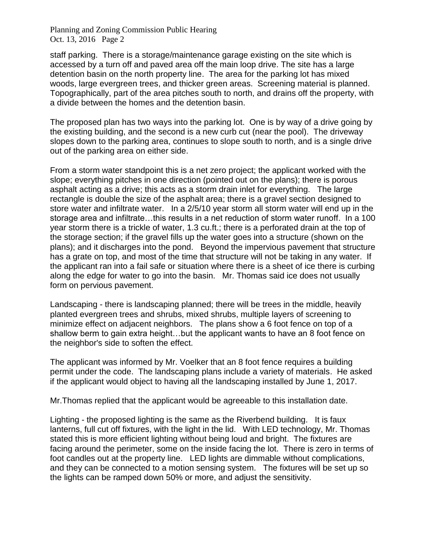staff parking. There is a storage/maintenance garage existing on the site which is accessed by a turn off and paved area off the main loop drive. The site has a large detention basin on the north property line. The area for the parking lot has mixed woods, large evergreen trees, and thicker green areas. Screening material is planned. Topographically, part of the area pitches south to north, and drains off the property, with a divide between the homes and the detention basin.

The proposed plan has two ways into the parking lot. One is by way of a drive going by the existing building, and the second is a new curb cut (near the pool). The driveway slopes down to the parking area, continues to slope south to north, and is a single drive out of the parking area on either side.

From a storm water standpoint this is a net zero project; the applicant worked with the slope; everything pitches in one direction (pointed out on the plans); there is porous asphalt acting as a drive; this acts as a storm drain inlet for everything. The large rectangle is double the size of the asphalt area; there is a gravel section designed to store water and infiltrate water. In a 2/5/10 year storm all storm water will end up in the storage area and infiltrate…this results in a net reduction of storm water runoff. In a 100 year storm there is a trickle of water, 1.3 cu.ft.; there is a perforated drain at the top of the storage section; if the gravel fills up the water goes into a structure (shown on the plans); and it discharges into the pond. Beyond the impervious pavement that structure has a grate on top, and most of the time that structure will not be taking in any water. If the applicant ran into a fail safe or situation where there is a sheet of ice there is curbing along the edge for water to go into the basin. Mr. Thomas said ice does not usually form on pervious pavement.

Landscaping - there is landscaping planned; there will be trees in the middle, heavily planted evergreen trees and shrubs, mixed shrubs, multiple layers of screening to minimize effect on adjacent neighbors. The plans show a 6 foot fence on top of a shallow berm to gain extra height…but the applicant wants to have an 8 foot fence on the neighbor's side to soften the effect.

The applicant was informed by Mr. Voelker that an 8 foot fence requires a building permit under the code. The landscaping plans include a variety of materials. He asked if the applicant would object to having all the landscaping installed by June 1, 2017.

Mr.Thomas replied that the applicant would be agreeable to this installation date.

Lighting - the proposed lighting is the same as the Riverbend building. It is faux lanterns, full cut off fixtures, with the light in the lid. With LED technology, Mr. Thomas stated this is more efficient lighting without being loud and bright. The fixtures are facing around the perimeter, some on the inside facing the lot. There is zero in terms of foot candles out at the property line. LED lights are dimmable without complications, and they can be connected to a motion sensing system. The fixtures will be set up so the lights can be ramped down 50% or more, and adjust the sensitivity.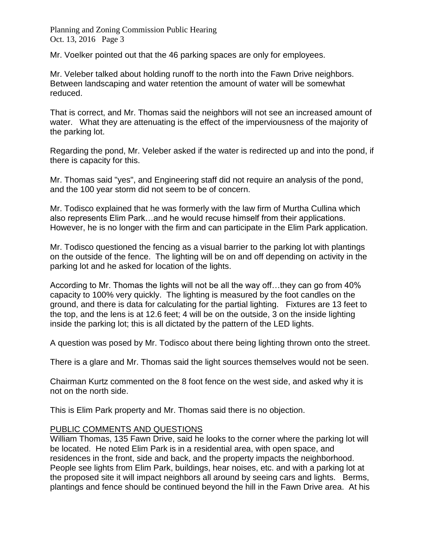Mr. Voelker pointed out that the 46 parking spaces are only for employees.

Mr. Veleber talked about holding runoff to the north into the Fawn Drive neighbors. Between landscaping and water retention the amount of water will be somewhat reduced.

That is correct, and Mr. Thomas said the neighbors will not see an increased amount of water. What they are attenuating is the effect of the imperviousness of the majority of the parking lot.

Regarding the pond, Mr. Veleber asked if the water is redirected up and into the pond, if there is capacity for this.

Mr. Thomas said "yes", and Engineering staff did not require an analysis of the pond, and the 100 year storm did not seem to be of concern.

Mr. Todisco explained that he was formerly with the law firm of Murtha Cullina which also represents Elim Park…and he would recuse himself from their applications. However, he is no longer with the firm and can participate in the Elim Park application.

Mr. Todisco questioned the fencing as a visual barrier to the parking lot with plantings on the outside of the fence. The lighting will be on and off depending on activity in the parking lot and he asked for location of the lights.

According to Mr. Thomas the lights will not be all the way off…they can go from 40% capacity to 100% very quickly. The lighting is measured by the foot candles on the ground, and there is data for calculating for the partial lighting. Fixtures are 13 feet to the top, and the lens is at 12.6 feet; 4 will be on the outside, 3 on the inside lighting inside the parking lot; this is all dictated by the pattern of the LED lights.

A question was posed by Mr. Todisco about there being lighting thrown onto the street.

There is a glare and Mr. Thomas said the light sources themselves would not be seen.

Chairman Kurtz commented on the 8 foot fence on the west side, and asked why it is not on the north side.

This is Elim Park property and Mr. Thomas said there is no objection.

## PUBLIC COMMENTS AND QUESTIONS

William Thomas, 135 Fawn Drive, said he looks to the corner where the parking lot will be located. He noted Elim Park is in a residential area, with open space, and residences in the front, side and back, and the property impacts the neighborhood. People see lights from Elim Park, buildings, hear noises, etc. and with a parking lot at the proposed site it will impact neighbors all around by seeing cars and lights. Berms, plantings and fence should be continued beyond the hill in the Fawn Drive area. At his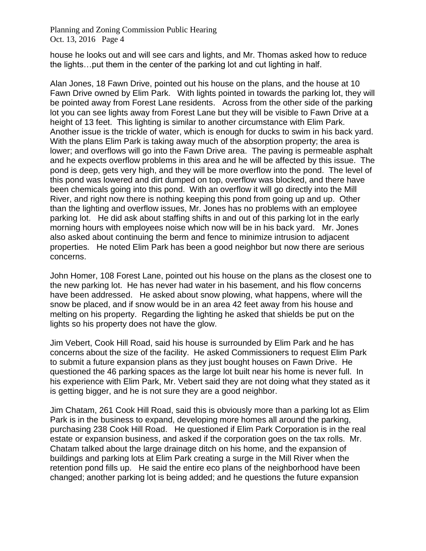house he looks out and will see cars and lights, and Mr. Thomas asked how to reduce the lights…put them in the center of the parking lot and cut lighting in half.

Alan Jones, 18 Fawn Drive, pointed out his house on the plans, and the house at 10 Fawn Drive owned by Elim Park. With lights pointed in towards the parking lot, they will be pointed away from Forest Lane residents. Across from the other side of the parking lot you can see lights away from Forest Lane but they will be visible to Fawn Drive at a height of 13 feet. This lighting is similar to another circumstance with Elim Park. Another issue is the trickle of water, which is enough for ducks to swim in his back yard. With the plans Elim Park is taking away much of the absorption property; the area is lower; and overflows will go into the Fawn Drive area. The paving is permeable asphalt and he expects overflow problems in this area and he will be affected by this issue. The pond is deep, gets very high, and they will be more overflow into the pond. The level of this pond was lowered and dirt dumped on top, overflow was blocked, and there have been chemicals going into this pond. With an overflow it will go directly into the Mill River, and right now there is nothing keeping this pond from going up and up. Other than the lighting and overflow issues, Mr. Jones has no problems with an employee parking lot. He did ask about staffing shifts in and out of this parking lot in the early morning hours with employees noise which now will be in his back yard. Mr. Jones also asked about continuing the berm and fence to minimize intrusion to adjacent properties. He noted Elim Park has been a good neighbor but now there are serious concerns.

John Homer, 108 Forest Lane, pointed out his house on the plans as the closest one to the new parking lot. He has never had water in his basement, and his flow concerns have been addressed. He asked about snow plowing, what happens, where will the snow be placed, and if snow would be in an area 42 feet away from his house and melting on his property. Regarding the lighting he asked that shields be put on the lights so his property does not have the glow.

Jim Vebert, Cook Hill Road, said his house is surrounded by Elim Park and he has concerns about the size of the facility. He asked Commissioners to request Elim Park to submit a future expansion plans as they just bought houses on Fawn Drive. He questioned the 46 parking spaces as the large lot built near his home is never full. In his experience with Elim Park, Mr. Vebert said they are not doing what they stated as it is getting bigger, and he is not sure they are a good neighbor.

Jim Chatam, 261 Cook Hill Road, said this is obviously more than a parking lot as Elim Park is in the business to expand, developing more homes all around the parking, purchasing 238 Cook Hill Road. He questioned if Elim Park Corporation is in the real estate or expansion business, and asked if the corporation goes on the tax rolls. Mr. Chatam talked about the large drainage ditch on his home, and the expansion of buildings and parking lots at Elim Park creating a surge in the Mill River when the retention pond fills up. He said the entire eco plans of the neighborhood have been changed; another parking lot is being added; and he questions the future expansion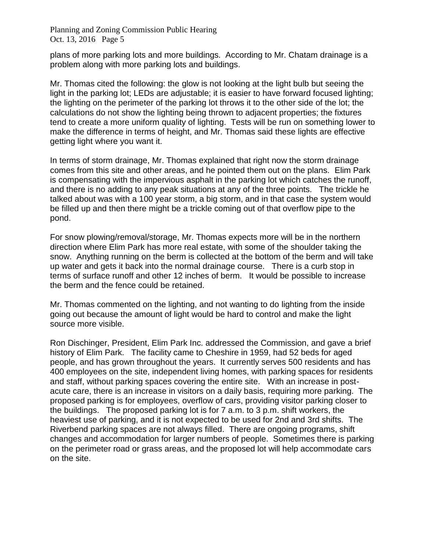plans of more parking lots and more buildings. According to Mr. Chatam drainage is a problem along with more parking lots and buildings.

Mr. Thomas cited the following: the glow is not looking at the light bulb but seeing the light in the parking lot; LEDs are adjustable; it is easier to have forward focused lighting; the lighting on the perimeter of the parking lot throws it to the other side of the lot; the calculations do not show the lighting being thrown to adjacent properties; the fixtures tend to create a more uniform quality of lighting. Tests will be run on something lower to make the difference in terms of height, and Mr. Thomas said these lights are effective getting light where you want it.

In terms of storm drainage, Mr. Thomas explained that right now the storm drainage comes from this site and other areas, and he pointed them out on the plans. Elim Park is compensating with the impervious asphalt in the parking lot which catches the runoff, and there is no adding to any peak situations at any of the three points. The trickle he talked about was with a 100 year storm, a big storm, and in that case the system would be filled up and then there might be a trickle coming out of that overflow pipe to the pond.

For snow plowing/removal/storage, Mr. Thomas expects more will be in the northern direction where Elim Park has more real estate, with some of the shoulder taking the snow. Anything running on the berm is collected at the bottom of the berm and will take up water and gets it back into the normal drainage course. There is a curb stop in terms of surface runoff and other 12 inches of berm. It would be possible to increase the berm and the fence could be retained.

Mr. Thomas commented on the lighting, and not wanting to do lighting from the inside going out because the amount of light would be hard to control and make the light source more visible.

Ron Dischinger, President, Elim Park Inc. addressed the Commission, and gave a brief history of Elim Park. The facility came to Cheshire in 1959, had 52 beds for aged people, and has grown throughout the years. It currently serves 500 residents and has 400 employees on the site, independent living homes, with parking spaces for residents and staff, without parking spaces covering the entire site. With an increase in postacute care, there is an increase in visitors on a daily basis, requiring more parking. The proposed parking is for employees, overflow of cars, providing visitor parking closer to the buildings. The proposed parking lot is for 7 a.m. to 3 p.m. shift workers, the heaviest use of parking, and it is not expected to be used for 2nd and 3rd shifts. The Riverbend parking spaces are not always filled. There are ongoing programs, shift changes and accommodation for larger numbers of people. Sometimes there is parking on the perimeter road or grass areas, and the proposed lot will help accommodate cars on the site.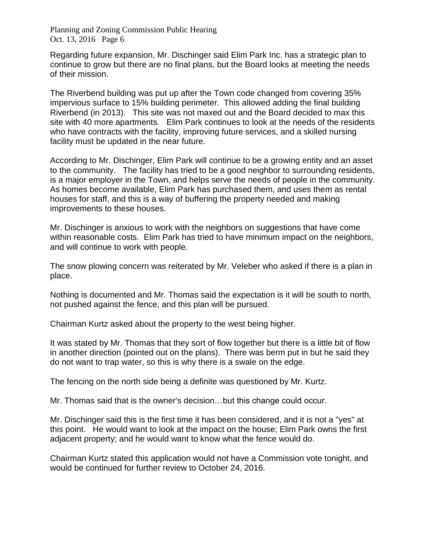Regarding future expansion, Mr. Dischinger said Elim Park Inc. has a strategic plan to continue to grow but there are no final plans, but the Board looks at meeting the needs of their mission.

The Riverbend building was put up after the Town code changed from covering 35% impervious surface to 15% building perimeter. This allowed adding the final building Riverbend (in 2013). This site was not maxed out and the Board decided to max this site with 40 more apartments. Elim Park continues to look at the needs of the residents who have contracts with the facility, improving future services, and a skilled nursing facility must be updated in the near future.

According to Mr. Dischinger, Elim Park will continue to be a growing entity and an asset to the community. The facility has tried to be a good neighbor to surrounding residents, is a major employer in the Town, and helps serve the needs of people in the community. As homes become available, Elim Park has purchased them, and uses them as rental houses for staff, and this is a way of buffering the property needed and making improvements to these houses.

Mr. Dischinger is anxious to work with the neighbors on suggestions that have come within reasonable costs. Elim Park has tried to have minimum impact on the neighbors, and will continue to work with people.

The snow plowing concern was reiterated by Mr. Veleber who asked if there is a plan in place.

Nothing is documented and Mr. Thomas said the expectation is it will be south to north, not pushed against the fence, and this plan will be pursued.

Chairman Kurtz asked about the property to the west being higher.

It was stated by Mr. Thomas that they sort of flow together but there is a little bit of flow in another direction (pointed out on the plans). There was berm put in but he said they do not want to trap water, so this is why there is a swale on the edge.

The fencing on the north side being a definite was questioned by Mr. Kurtz.

Mr. Thomas said that is the owner's decision…but this change could occur.

Mr. Dischinger said this is the first time it has been considered, and it is not a "yes" at this point. He would want to look at the impact on the house; Elim Park owns the first adjacent property; and he would want to know what the fence would do.

Chairman Kurtz stated this application would not have a Commission vote tonight, and would be continued for further review to October 24, 2016.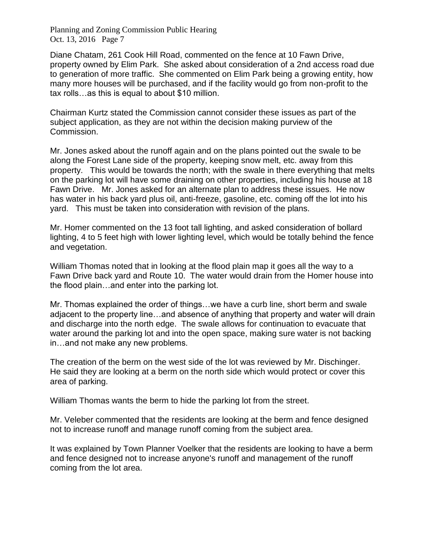Diane Chatam, 261 Cook Hill Road, commented on the fence at 10 Fawn Drive, property owned by Elim Park. She asked about consideration of a 2nd access road due to generation of more traffic. She commented on Elim Park being a growing entity, how many more houses will be purchased, and if the facility would go from non-profit to the tax rolls…as this is equal to about \$10 million.

Chairman Kurtz stated the Commission cannot consider these issues as part of the subject application, as they are not within the decision making purview of the Commission.

Mr. Jones asked about the runoff again and on the plans pointed out the swale to be along the Forest Lane side of the property, keeping snow melt, etc. away from this property. This would be towards the north; with the swale in there everything that melts on the parking lot will have some draining on other properties, including his house at 18 Fawn Drive. Mr. Jones asked for an alternate plan to address these issues. He now has water in his back yard plus oil, anti-freeze, gasoline, etc. coming off the lot into his yard. This must be taken into consideration with revision of the plans.

Mr. Homer commented on the 13 foot tall lighting, and asked consideration of bollard lighting, 4 to 5 feet high with lower lighting level, which would be totally behind the fence and vegetation.

William Thomas noted that in looking at the flood plain map it goes all the way to a Fawn Drive back yard and Route 10. The water would drain from the Homer house into the flood plain…and enter into the parking lot.

Mr. Thomas explained the order of things…we have a curb line, short berm and swale adjacent to the property line…and absence of anything that property and water will drain and discharge into the north edge. The swale allows for continuation to evacuate that water around the parking lot and into the open space, making sure water is not backing in…and not make any new problems.

The creation of the berm on the west side of the lot was reviewed by Mr. Dischinger. He said they are looking at a berm on the north side which would protect or cover this area of parking.

William Thomas wants the berm to hide the parking lot from the street.

Mr. Veleber commented that the residents are looking at the berm and fence designed not to increase runoff and manage runoff coming from the subject area.

It was explained by Town Planner Voelker that the residents are looking to have a berm and fence designed not to increase anyone's runoff and management of the runoff coming from the lot area.